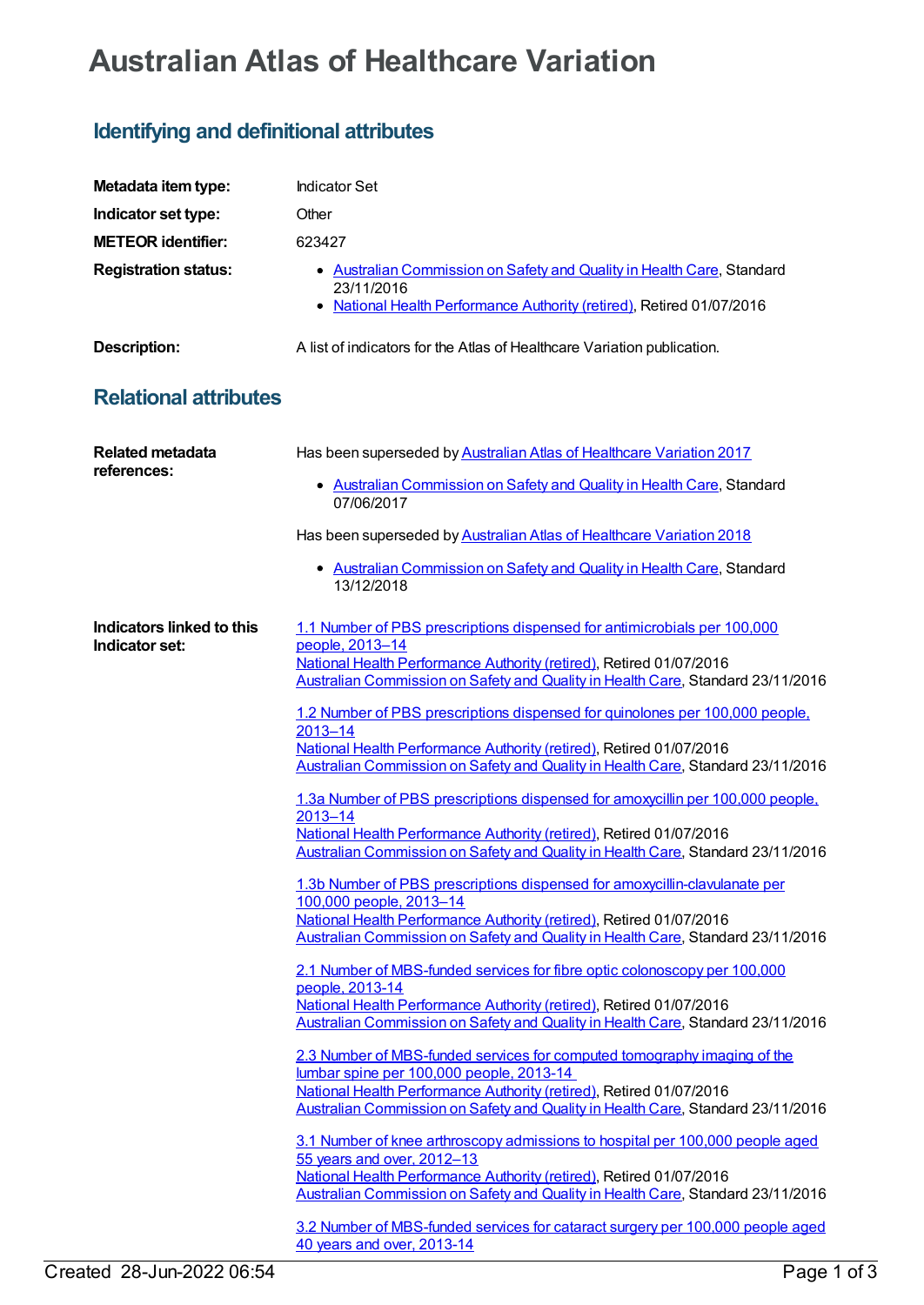## **Australian Atlas of Healthcare Variation**

## **Identifying and definitional attributes**

| Metadata item type:                    | <b>Indicator Set</b>                                                                                                                                                                                                                                                                                                                                                                                                                                                                                                                                                                                                                                                                                                                                                                                                                                                                                                                                                                                                                                                                                                                                                                                                                                                                                                                                                                                                                                                                                                                                                                                                                                                                                                                                                                                                                                                                                  |
|----------------------------------------|-------------------------------------------------------------------------------------------------------------------------------------------------------------------------------------------------------------------------------------------------------------------------------------------------------------------------------------------------------------------------------------------------------------------------------------------------------------------------------------------------------------------------------------------------------------------------------------------------------------------------------------------------------------------------------------------------------------------------------------------------------------------------------------------------------------------------------------------------------------------------------------------------------------------------------------------------------------------------------------------------------------------------------------------------------------------------------------------------------------------------------------------------------------------------------------------------------------------------------------------------------------------------------------------------------------------------------------------------------------------------------------------------------------------------------------------------------------------------------------------------------------------------------------------------------------------------------------------------------------------------------------------------------------------------------------------------------------------------------------------------------------------------------------------------------------------------------------------------------------------------------------------------------|
| Indicator set type:                    | Other                                                                                                                                                                                                                                                                                                                                                                                                                                                                                                                                                                                                                                                                                                                                                                                                                                                                                                                                                                                                                                                                                                                                                                                                                                                                                                                                                                                                                                                                                                                                                                                                                                                                                                                                                                                                                                                                                                 |
| <b>METEOR identifier:</b>              | 623427                                                                                                                                                                                                                                                                                                                                                                                                                                                                                                                                                                                                                                                                                                                                                                                                                                                                                                                                                                                                                                                                                                                                                                                                                                                                                                                                                                                                                                                                                                                                                                                                                                                                                                                                                                                                                                                                                                |
| <b>Registration status:</b>            | • Australian Commission on Safety and Quality in Health Care, Standard<br>23/11/2016<br>• National Health Performance Authority (retired), Retired 01/07/2016                                                                                                                                                                                                                                                                                                                                                                                                                                                                                                                                                                                                                                                                                                                                                                                                                                                                                                                                                                                                                                                                                                                                                                                                                                                                                                                                                                                                                                                                                                                                                                                                                                                                                                                                         |
| <b>Description:</b>                    | A list of indicators for the Atlas of Healthcare Variation publication.                                                                                                                                                                                                                                                                                                                                                                                                                                                                                                                                                                                                                                                                                                                                                                                                                                                                                                                                                                                                                                                                                                                                                                                                                                                                                                                                                                                                                                                                                                                                                                                                                                                                                                                                                                                                                               |
| <b>Relational attributes</b>           |                                                                                                                                                                                                                                                                                                                                                                                                                                                                                                                                                                                                                                                                                                                                                                                                                                                                                                                                                                                                                                                                                                                                                                                                                                                                                                                                                                                                                                                                                                                                                                                                                                                                                                                                                                                                                                                                                                       |
| <b>Related metadata</b><br>references: | Has been superseded by Australian Atlas of Healthcare Variation 2017<br>Australian Commission on Safety and Quality in Health Care, Standard<br>07/06/2017<br>Has been superseded by Australian Atlas of Healthcare Variation 2018<br>• Australian Commission on Safety and Quality in Health Care, Standard                                                                                                                                                                                                                                                                                                                                                                                                                                                                                                                                                                                                                                                                                                                                                                                                                                                                                                                                                                                                                                                                                                                                                                                                                                                                                                                                                                                                                                                                                                                                                                                          |
| <b>Indicators linked to this</b>       | 13/12/2018<br>1.1 Number of PBS prescriptions dispensed for antimicrobials per 100,000                                                                                                                                                                                                                                                                                                                                                                                                                                                                                                                                                                                                                                                                                                                                                                                                                                                                                                                                                                                                                                                                                                                                                                                                                                                                                                                                                                                                                                                                                                                                                                                                                                                                                                                                                                                                                |
| Indicator set:                         | people, 2013-14<br>National Health Performance Authority (retired), Retired 01/07/2016<br>Australian Commission on Safety and Quality in Health Care, Standard 23/11/2016<br>1.2 Number of PBS prescriptions dispensed for quinolones per 100,000 people,<br>$2013 - 14$<br>National Health Performance Authority (retired), Retired 01/07/2016<br>Australian Commission on Safety and Quality in Health Care, Standard 23/11/2016<br>1.3a Number of PBS prescriptions dispensed for amoxycillin per 100,000 people,<br>$2013 - 14$<br>National Health Performance Authority (retired), Retired 01/07/2016<br>Australian Commission on Safety and Quality in Health Care, Standard 23/11/2016<br>1.3b Number of PBS prescriptions dispensed for amoxycillin-clavulanate per<br>100,000 people, 2013-14<br>National Health Performance Authority (retired), Retired 01/07/2016<br>Australian Commission on Safety and Quality in Health Care, Standard 23/11/2016<br>2.1 Number of MBS-funded services for fibre optic colonoscopy per 100,000<br>people, 2013-14<br>National Health Performance Authority (retired), Retired 01/07/2016<br>Australian Commission on Safety and Quality in Health Care, Standard 23/11/2016<br>2.3 Number of MBS-funded services for computed tomography imaging of the<br>lumbar spine per 100,000 people, 2013-14<br>National Health Performance Authority (retired), Retired 01/07/2016<br>Australian Commission on Safety and Quality in Health Care, Standard 23/11/2016<br>3.1 Number of knee arthroscopy admissions to hospital per 100,000 people aged<br>55 years and over, 2012-13<br>National Health Performance Authority (retired), Retired 01/07/2016<br>Australian Commission on Safety and Quality in Health Care, Standard 23/11/2016<br>3.2 Number of MBS-funded services for cataract surgery per 100,000 people aged<br>40 years and over, 2013-14 |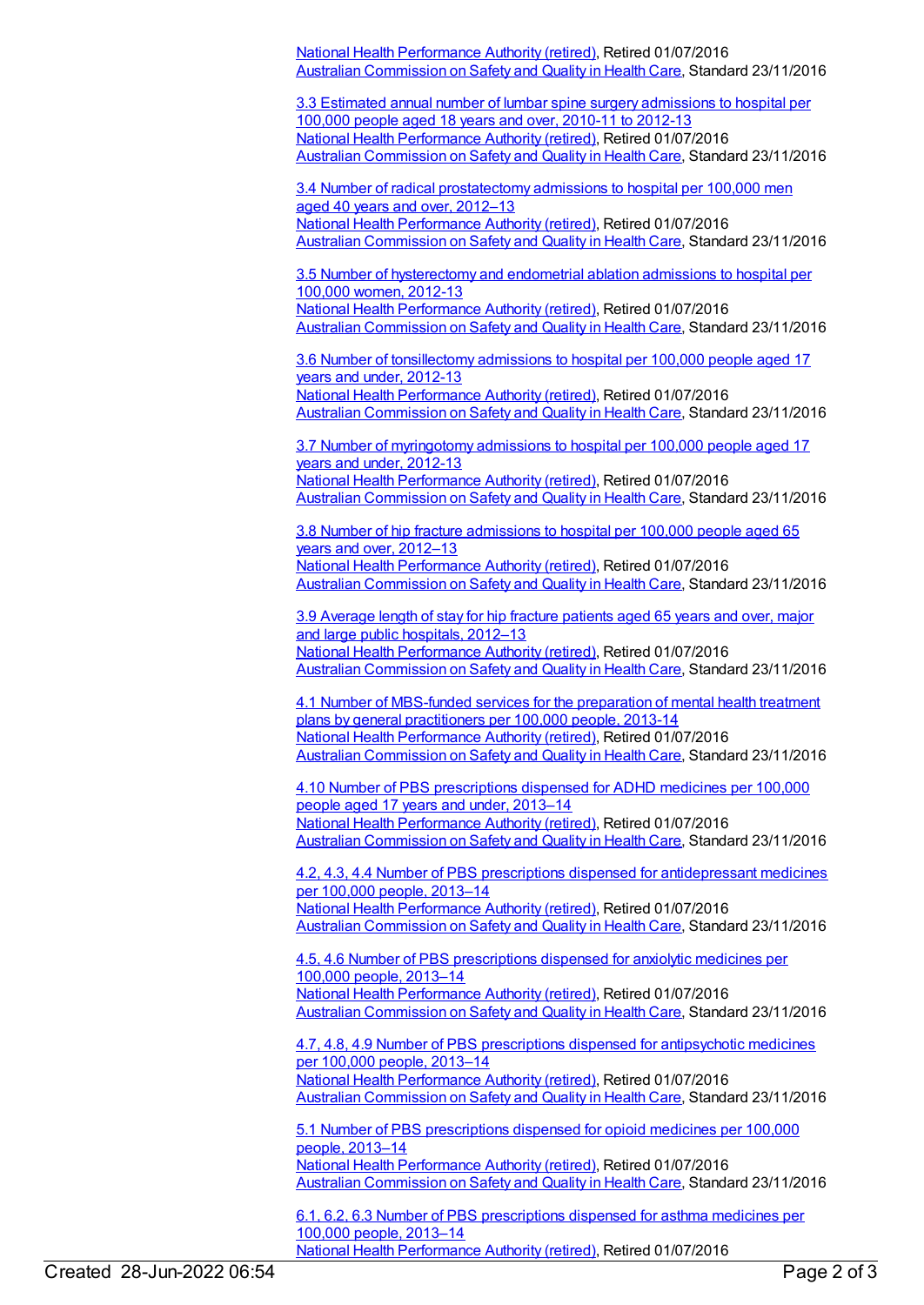National Health [Performance](https://meteor.aihw.gov.au/RegistrationAuthority/8) Authority (retired), Retired 01/07/2016 Australian [Commission](https://meteor.aihw.gov.au/RegistrationAuthority/18) on Safety and Quality in Health Care, Standard 23/11/2016

3.3 Estimated annual number of lumbar spine surgery [admissions](https://meteor.aihw.gov.au/content/611791) to hospital per 100,000 people aged 18 years and over, 2010-11 to 2012-13 National Health [Performance](https://meteor.aihw.gov.au/RegistrationAuthority/8) Authority (retired), Retired 01/07/2016 Australian [Commission](https://meteor.aihw.gov.au/RegistrationAuthority/18) on Safety and Quality in Health Care, Standard 23/11/2016

3.4 Number of radical [prostatectomy](https://meteor.aihw.gov.au/content/611740) admissions to hospital per 100,000 men aged 40 years and over, 2012–13 National Health [Performance](https://meteor.aihw.gov.au/RegistrationAuthority/8) Authority (retired), Retired 01/07/2016 Australian [Commission](https://meteor.aihw.gov.au/RegistrationAuthority/18) on Safety and Quality in Health Care, Standard 23/11/2016

3.5 Number of [hysterectomy](https://meteor.aihw.gov.au/content/612107) and endometrial ablation admissions to hospital per 100,000 women, 2012-13 National Health [Performance](https://meteor.aihw.gov.au/RegistrationAuthority/8) Authority (retired), Retired 01/07/2016 Australian [Commission](https://meteor.aihw.gov.au/RegistrationAuthority/18) on Safety and Quality in Health Care, Standard 23/11/2016

3.6 Number of [tonsillectomy](https://meteor.aihw.gov.au/content/612118) admissions to hospital per 100,000 people aged 17 years and under, 2012-13 National Health [Performance](https://meteor.aihw.gov.au/RegistrationAuthority/8) Authority (retired), Retired 01/07/2016 Australian [Commission](https://meteor.aihw.gov.au/RegistrationAuthority/18) on Safety and Quality in Health Care, Standard 23/11/2016

3.7 Number of [myringotomy](https://meteor.aihw.gov.au/content/612121) admissions to hospital per 100,000 people aged 17 years and under, 2012-13 National Health [Performance](https://meteor.aihw.gov.au/RegistrationAuthority/8) Authority (retired), Retired 01/07/2016 Australian [Commission](https://meteor.aihw.gov.au/RegistrationAuthority/18) on Safety and Quality in Health Care, Standard 23/11/2016

3.8 Number of hip fracture [admissions](https://meteor.aihw.gov.au/content/611724) to hospital per 100,000 people aged 65 years and over, 2012–13 National Health [Performance](https://meteor.aihw.gov.au/RegistrationAuthority/8) Authority (retired), Retired 01/07/2016 Australian [Commission](https://meteor.aihw.gov.au/RegistrationAuthority/18) on Safety and Quality in Health Care, Standard 23/11/2016

3.9 [Average](https://meteor.aihw.gov.au/content/601268) length of stay for hip fracture patients aged 65 years and over, major and large public hospitals, 2012–13 National Health [Performance](https://meteor.aihw.gov.au/RegistrationAuthority/8) Authority (retired), Retired 01/07/2016 Australian [Commission](https://meteor.aihw.gov.au/RegistrationAuthority/18) on Safety and Quality in Health Care, Standard 23/11/2016

4.1 Number of [MBS-funded](https://meteor.aihw.gov.au/content/612063) services for the preparation of mental health treatment plans by general practitioners per 100,000 people, 2013-14 National Health [Performance](https://meteor.aihw.gov.au/RegistrationAuthority/8) Authority (retired), Retired 01/07/2016 Australian [Commission](https://meteor.aihw.gov.au/RegistrationAuthority/18) on Safety and Quality in Health Care, Standard 23/11/2016

4.10 Number of PBS [prescriptions](https://meteor.aihw.gov.au/content/611676) dispensed for ADHD medicines per 100,000 people aged 17 years and under, 2013–14 National Health [Performance](https://meteor.aihw.gov.au/RegistrationAuthority/8) Authority (retired), Retired 01/07/2016 Australian [Commission](https://meteor.aihw.gov.au/RegistrationAuthority/18) on Safety and Quality in Health Care, Standard 23/11/2016

4.2, 4.3, 4.4 Number of PBS prescriptions dispensed for [antidepressant](https://meteor.aihw.gov.au/content/611661) medicines per 100,000 people, 2013–14 National Health [Performance](https://meteor.aihw.gov.au/RegistrationAuthority/8) Authority (retired), Retired 01/07/2016 Australian [Commission](https://meteor.aihw.gov.au/RegistrationAuthority/18) on Safety and Quality in Health Care, Standard 23/11/2016

4.5, 4.6 Number of PBS [prescriptions](https://meteor.aihw.gov.au/content/611674) dispensed for anxiolytic medicines per 100,000 people, 2013–14 National Health [Performance](https://meteor.aihw.gov.au/RegistrationAuthority/8) Authority (retired), Retired 01/07/2016 Australian [Commission](https://meteor.aihw.gov.au/RegistrationAuthority/18) on Safety and Quality in Health Care, Standard 23/11/2016

4.7, 4.8, 4.9 Number of PBS [prescriptions](https://meteor.aihw.gov.au/content/611652) dispensed for antipsychotic medicines per 100,000 people, 2013–14 National Health [Performance](https://meteor.aihw.gov.au/RegistrationAuthority/8) Authority (retired), Retired 01/07/2016 Australian [Commission](https://meteor.aihw.gov.au/RegistrationAuthority/18) on Safety and Quality in Health Care, Standard 23/11/2016

5.1 Number of PBS [prescriptions](https://meteor.aihw.gov.au/content/611687) dispensed for opioid medicines per 100,000 people, 2013–14 National Health [Performance](https://meteor.aihw.gov.au/RegistrationAuthority/8) Authority (retired), Retired 01/07/2016 Australian [Commission](https://meteor.aihw.gov.au/RegistrationAuthority/18) on Safety and Quality in Health Care, Standard 23/11/2016

6.1, 6.2, 6.3 Number of PBS [prescriptions](https://meteor.aihw.gov.au/content/611645) dispensed for asthma medicines per 100,000 people, 2013–14 National Health [Performance](https://meteor.aihw.gov.au/RegistrationAuthority/8) Authority (retired), Retired 01/07/2016